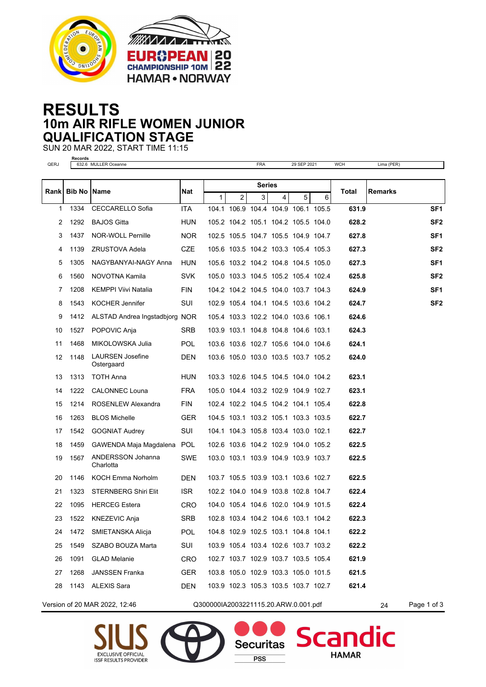



## **RESULTS 10m AIR RIFLE WOMEN JUNIOR QUALIFICATION STAGE**

SUN 20 MAR 2022, START TIME 11:15

**Records** QERJ 632.6 MULLER Oceanne FRA 29 SEP 2021 WCH Lima (PER) **Bib No Name Nat Total Rank Remarks Series** 1 2 3 4 5 6 1334 CECCARELLO Sofia ITA 104.1 106.9 104.4 104.9 106.1 105.5 **631.9 SF1** 1292 BAJOS Gitta HUN 105.2 104.2 105.1 104.2 105.5 104.0 **628.2 SF2** 1437 NOR-WOLL Pernille NOR 102.5 105.5 104.7 105.5 104.9 104.7 **627.8 SF1** 1139 ZRUSTOVA Adela CZE 105.6 103.5 104.2 103.3 105.4 105.3 **627.3 SF2** 1305 NAGYBANYAI-NAGY Anna HUN 105.6 103.2 104.2 104.8 104.5 105.0 **627.3 SF1** 1560 NOVOTNA Kamila SVK 105.0 103.3 104.5 105.2 105.4 102.4 **625.8 SF2** 1208 KEMPPI Viivi Natalia FIN 104.2 104.2 104.5 104.0 103.7 104.3 **624.9 SF1** 1543 KOCHER Jennifer SUI 102.9 105.4 104.1 104.5 103.6 104.2 **624.7 SF2** 1412 ALSTAD Andrea Ingstadbjorg NOR 105.4 103.3 102.2 104.0 103.6 106.1 **624.6** 1527 POPOVIC Anja SRB 103.9 103.1 104.8 104.8 104.6 103.1 **624.3** 1468 MIKOLOWSKA Julia POL 103.6 103.6 102.7 105.6 104.0 104.6 **624.1** LAURSEN Josefine DEN **Ostergaard**  1148 103.6 105.0 103.0 103.5 103.7 105.2 **624.0** 1313 TOTH Anna HUN 103.3 102.6 104.5 104.5 104.0 104.2 **623.1** 1222 CALONNEC Louna FRA 105.0 104.4 103.2 102.9 104.9 102.7 **623.1** 1214 ROSENLEW Alexandra FIN 102.4 102.2 104.5 104.2 104.1 105.4 **622.8** 1263 BLOS Michelle GER 104.5 103.1 103.2 105.1 103.3 103.5 **622.7** 1542 GOGNIAT Audrey SUI 104.1 104.3 105.8 103.4 103.0 102.1 **622.7** 1459 GAWENDA Maja Magdalena POL 102.6 103.6 104.2 102.9 104.0 105.2 **622.5** ANDERSSON Johanna SWE **Charlotta**  1567 103.0 103.1 103.9 104.9 103.9 103.7 **622.5** 1146 KOCH Emma Norholm DEN 103.7 105.5 103.9 103.1 103.6 102.7 **622.5** 1323 STERNBERG Shiri Elit ISR 102.2 104.0 104.9 103.8 102.8 104.7 **622.4** 1095 HERCEG Estera CRO 104.0 105.4 104.6 102.0 104.9 101.5 **622.4** 1522 KNEZEVIC Anja SRB 102.8 103.4 104.2 104.6 103.1 104.2 **622.3** 1472 SMIETANSKA Alicja POL 104.8 102.9 102.5 103.1 104.8 104.1 **622.2** 1549 SZABO BOUZA Marta SUI 103.9 105.4 103.4 102.6 103.7 103.2 **622.2** 1091 GLAD Melanie CRO 102.7 103.7 102.9 103.7 103.5 105.4 **621.9** 1268 JANSSEN Franka GER 103.8 105.0 102.9 103.3 105.0 101.5 **621.5** 1143 ALEXIS Sara DEN 103.9 102.3 105.3 103.5 103.7 102.7 **621.4** Version of 20 MAR 2022, 12:46 Q300000IA2003221115.20.ARW.0.001.pdf 24 Page 1 of 3





Sca

**HAMAR** 

**Securitas** 

PSS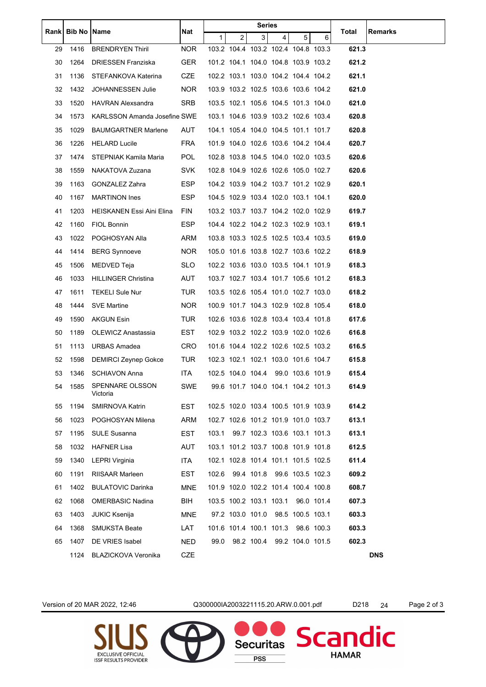|    | Rank   Bib No   Name |                                     | Nat        | <b>Series</b>  |                                     |                              |                |   |            |       |            |
|----|----------------------|-------------------------------------|------------|----------------|-------------------------------------|------------------------------|----------------|---|------------|-------|------------|
|    |                      |                                     |            | 1 <sup>1</sup> | $\overline{2}$                      | 3                            | $\overline{4}$ | 5 | 6          | Total | Remarks    |
| 29 | 1416                 | <b>BRENDRYEN Thiril</b>             | <b>NOR</b> |                | 103.2 104.4 103.2 102.4 104.8 103.3 |                              |                |   |            | 621.3 |            |
| 30 | 1264                 | DRIESSEN Franziska                  | <b>GER</b> |                | 101.2 104.1 104.0 104.8 103.9 103.2 |                              |                |   |            | 621.2 |            |
| 31 | 1136                 | STEFANKOVA Katerina                 | CZE        |                | 102.2 103.1 103.0 104.2 104.4 104.2 |                              |                |   |            | 621.1 |            |
| 32 | 1432                 | JOHANNESSEN Julie                   | <b>NOR</b> |                | 103.9 103.2 102.5 103.6 103.6 104.2 |                              |                |   |            | 621.0 |            |
| 33 | 1520                 | HAVRAN Alexsandra                   | <b>SRB</b> |                | 103.5 102.1 105.6 104.5 101.3 104.0 |                              |                |   |            | 621.0 |            |
| 34 | 1573                 | <b>KARLSSON Amanda Josefine SWE</b> |            |                | 103.1 104.6 103.9 103.2 102.6 103.4 |                              |                |   |            | 620.8 |            |
| 35 | 1029                 | <b>BAUMGARTNER Marlene</b>          | AUT        |                | 104.1 105.4 104.0 104.5 101.1 101.7 |                              |                |   |            | 620.8 |            |
| 36 | 1226                 | <b>HELARD Lucile</b>                | <b>FRA</b> |                | 101.9 104.0 102.6 103.6 104.2 104.4 |                              |                |   |            | 620.7 |            |
| 37 | 1474                 | STEPNIAK Kamila Maria               | <b>POL</b> |                | 102.8 103.8 104.5 104.0 102.0 103.5 |                              |                |   |            | 620.6 |            |
| 38 | 1559                 | NAKATOVA Zuzana                     | <b>SVK</b> |                | 102.8 104.9 102.6 102.6 105.0 102.7 |                              |                |   |            | 620.6 |            |
| 39 | 1163                 | GONZALEZ Zahra                      | ESP        |                | 104.2 103.9 104.2 103.7 101.2 102.9 |                              |                |   |            | 620.1 |            |
| 40 | 1167                 | <b>MARTINON Ines</b>                | ESP.       |                | 104.5 102.9 103.4 102.0 103.1 104.1 |                              |                |   |            | 620.0 |            |
| 41 | 1203                 | HEISKANEN Essi Aini Elina           | <b>FIN</b> |                | 103.2 103.7 103.7 104.2 102.0 102.9 |                              |                |   |            | 619.7 |            |
| 42 | 1160                 | FIOL Bonnin                         | ESP.       |                | 104.4 102.2 104.2 102.3 102.9 103.1 |                              |                |   |            | 619.1 |            |
| 43 | 1022                 | POGHOSYAN Alla                      | ARM        |                | 103.8 103.3 102.5 102.5 103.4 103.5 |                              |                |   |            | 619.0 |            |
| 44 | 1414                 | <b>BERG Synnoeve</b>                | <b>NOR</b> |                | 105.0 101.6 103.8 102.7 103.6 102.2 |                              |                |   |            | 618.9 |            |
| 45 | 1506                 | MEDVED Teja                         | <b>SLO</b> |                | 102.2 103.6 103.0 103.5 104.1 101.9 |                              |                |   |            | 618.3 |            |
| 46 | 1033                 | <b>HILLINGER Christina</b>          | AUT        |                | 103.7 102.7 103.4 101.7 105.6 101.2 |                              |                |   |            | 618.3 |            |
| 47 | 1611                 | TEKELI Sule Nur                     | <b>TUR</b> |                | 103.5 102.6 105.4 101.0 102.7 103.0 |                              |                |   |            | 618.2 |            |
| 48 | 1444                 | SVE Martine                         | <b>NOR</b> |                | 100.9 101.7 104.3 102.9 102.8 105.4 |                              |                |   |            | 618.0 |            |
| 49 | 1590                 | AKGUN Esin                          | <b>TUR</b> |                | 102.6 103.6 102.8 103.4 103.4 101.8 |                              |                |   |            | 617.6 |            |
| 50 | 1189                 | OLEWICZ Anastassia                  | EST        |                | 102.9 103.2 102.2 103.9 102.0 102.6 |                              |                |   |            | 616.8 |            |
| 51 |                      | 1113 URBAS Amadea                   | CRO        |                | 101.6 104.4 102.2 102.6 102.5 103.2 |                              |                |   |            | 616.5 |            |
| 52 |                      | 1598 DEMIRCI Zeynep Gokce           | TUR        |                | 102.3 102.1 102.1 103.0 101.6 104.7 |                              |                |   |            | 615.8 |            |
| 53 |                      | 1346 SCHIAVON Anna                  | ITA        |                | 102.5 104.0 104.4 99.0 103.6 101.9  |                              |                |   |            | 615.4 |            |
| 54 | 1585                 | SPENNARE OLSSON<br>Victoria         | SWE        |                | 99.6 101.7 104.0 104.1 104.2 101.3  |                              |                |   |            | 614.9 |            |
| 55 | 1194                 | SMIRNOVA Katrin                     | <b>EST</b> |                | 102.5 102.0 103.4 100.5 101.9 103.9 |                              |                |   |            | 614.2 |            |
| 56 | 1023                 | POGHOSYAN Milena                    | ARM        |                | 102.7 102.6 101.2 101.9 101.0 103.7 |                              |                |   |            | 613.1 |            |
| 57 | 1195                 | <b>SULE Susanna</b>                 | EST        | 103.1          |                                     | 99.7 102.3 103.6 103.1 101.3 |                |   |            | 613.1 |            |
| 58 | 1032                 | <b>HAFNER Lisa</b>                  | AUT        |                | 103.1 101.2 103.7 100.8 101.9 101.8 |                              |                |   |            | 612.5 |            |
| 59 | 1340                 | LEPRI Virginia                      | ITA        |                | 102.1 102.8 101.4 101.1 101.5 102.5 |                              |                |   |            | 611.4 |            |
| 60 | 1191                 | <b>RIISAAR Marleen</b>              | EST        | 102.6          |                                     | 99.4 101.8 99.6 103.5 102.3  |                |   |            | 609.2 |            |
| 61 | 1402                 | <b>BULATOVIC Darinka</b>            | MNE        |                | 101.9 102.0 102.2 101.4 100.4 100.8 |                              |                |   |            | 608.7 |            |
| 62 | 1068                 | OMERBASIC Nadina                    | BIH        |                | 103.5 100.2 103.1 103.1             |                              |                |   | 96.0 101.4 | 607.3 |            |
| 63 | 1403                 | JUKIC Ksenija                       | <b>MNE</b> |                | 97.2 103.0 101.0 98.5 100.5 103.1   |                              |                |   |            | 603.3 |            |
| 64 | 1368                 | SMUKSTA Beate                       | LAT        |                | 101.6 101.4 100.1 101.3 98.6 100.3  |                              |                |   |            | 603.3 |            |
| 65 | 1407                 | DE VRIES Isabel                     | <b>NED</b> | 99.0           |                                     | 98.2 100.4 99.2 104.0 101.5  |                |   |            | 602.3 |            |
|    | 1124                 | <b>BLAZICKOVA Veronika</b>          | CZE        |                |                                     |                              |                |   |            |       | <b>DNS</b> |

Version of 20 MAR 2022, 12:46 Q300000IA2003221115.20.ARW.0.001.pdf D218 24 Page 2 of 3

Securitas

**PSS** 

Scandic

**HAMAR**